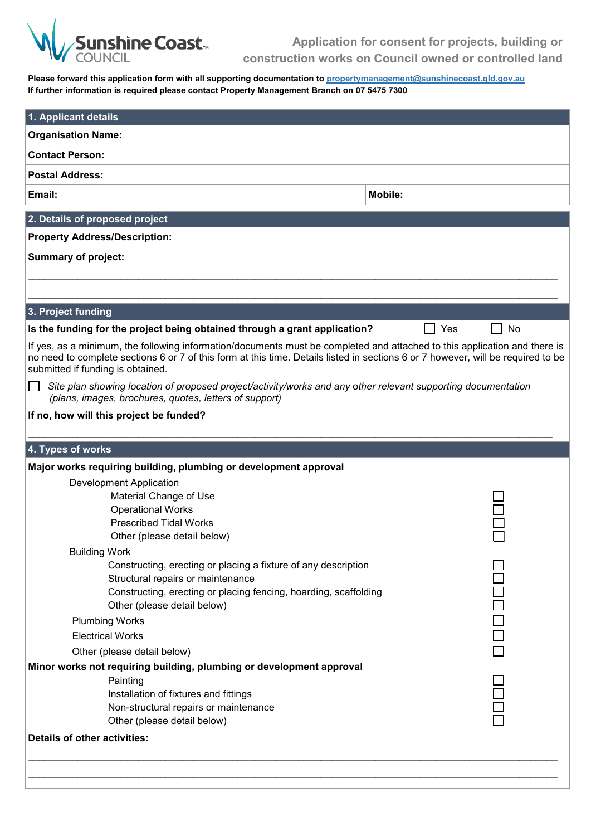

**Application for consent for projects, building or construction works on Council owned or controlled land**

**Please forward this application form with all supporting documentation to propertymanagement@sunshinecoast.qld.gov.au If further information is required please contact Property Management Branch on 07 5475 7300**

| 1. Applicant details                                                                                                                                                                                                                                                                               |            |  |  |
|----------------------------------------------------------------------------------------------------------------------------------------------------------------------------------------------------------------------------------------------------------------------------------------------------|------------|--|--|
| <b>Organisation Name:</b>                                                                                                                                                                                                                                                                          |            |  |  |
| <b>Contact Person:</b>                                                                                                                                                                                                                                                                             |            |  |  |
| <b>Postal Address:</b>                                                                                                                                                                                                                                                                             |            |  |  |
| Email:                                                                                                                                                                                                                                                                                             | Mobile:    |  |  |
| 2. Details of proposed project                                                                                                                                                                                                                                                                     |            |  |  |
| <b>Property Address/Description:</b>                                                                                                                                                                                                                                                               |            |  |  |
| <b>Summary of project:</b>                                                                                                                                                                                                                                                                         |            |  |  |
|                                                                                                                                                                                                                                                                                                    |            |  |  |
|                                                                                                                                                                                                                                                                                                    |            |  |  |
| 3. Project funding                                                                                                                                                                                                                                                                                 |            |  |  |
| Is the funding for the project being obtained through a grant application?                                                                                                                                                                                                                         | Yes<br>No  |  |  |
| If yes, as a minimum, the following information/documents must be completed and attached to this application and there is<br>no need to complete sections 6 or 7 of this form at this time. Details listed in sections 6 or 7 however, will be required to be<br>submitted if funding is obtained. |            |  |  |
| Site plan showing location of proposed project/activity/works and any other relevant supporting documentation<br>(plans, images, brochures, quotes, letters of support)                                                                                                                            |            |  |  |
| If no, how will this project be funded?                                                                                                                                                                                                                                                            |            |  |  |
| 4. Types of works                                                                                                                                                                                                                                                                                  |            |  |  |
| Major works requiring building, plumbing or development approval                                                                                                                                                                                                                                   |            |  |  |
| <b>Development Application</b>                                                                                                                                                                                                                                                                     |            |  |  |
| Material Change of Use                                                                                                                                                                                                                                                                             |            |  |  |
| <b>Operational Works</b>                                                                                                                                                                                                                                                                           |            |  |  |
| <b>Prescribed Tidal Works</b>                                                                                                                                                                                                                                                                      |            |  |  |
| Other (please detail below)                                                                                                                                                                                                                                                                        |            |  |  |
| <b>Building Work</b>                                                                                                                                                                                                                                                                               |            |  |  |
| Constructing, erecting or placing a fixture of any description<br>Structural repairs or maintenance                                                                                                                                                                                                |            |  |  |
| Constructing, erecting or placing fencing, hoarding, scaffolding                                                                                                                                                                                                                                   |            |  |  |
| Other (please detail below)                                                                                                                                                                                                                                                                        |            |  |  |
| <b>Plumbing Works</b>                                                                                                                                                                                                                                                                              | 1000<br>00 |  |  |
| <b>Electrical Works</b>                                                                                                                                                                                                                                                                            |            |  |  |
| Other (please detail below)                                                                                                                                                                                                                                                                        |            |  |  |
| Minor works not requiring building, plumbing or development approval                                                                                                                                                                                                                               |            |  |  |
| Painting                                                                                                                                                                                                                                                                                           |            |  |  |
| Installation of fixtures and fittings                                                                                                                                                                                                                                                              |            |  |  |
| Non-structural repairs or maintenance                                                                                                                                                                                                                                                              |            |  |  |
| Other (please detail below)                                                                                                                                                                                                                                                                        |            |  |  |
| <b>Details of other activities:</b>                                                                                                                                                                                                                                                                |            |  |  |
|                                                                                                                                                                                                                                                                                                    |            |  |  |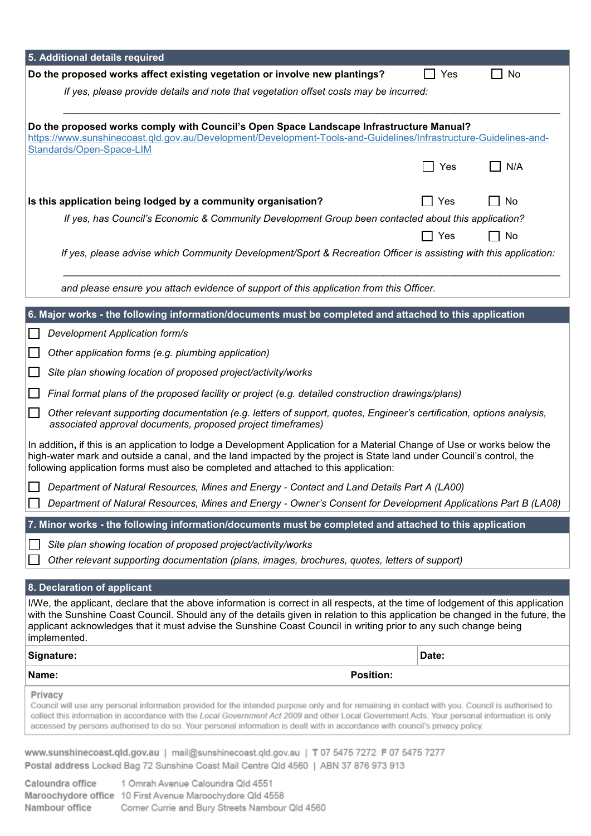| 5. Additional details required                                                                                                                                                                                                                                                                                                                                                                                                               |       |           |  |
|----------------------------------------------------------------------------------------------------------------------------------------------------------------------------------------------------------------------------------------------------------------------------------------------------------------------------------------------------------------------------------------------------------------------------------------------|-------|-----------|--|
| Do the proposed works affect existing vegetation or involve new plantings?                                                                                                                                                                                                                                                                                                                                                                   | Yes   | No        |  |
| If yes, please provide details and note that vegetation offset costs may be incurred:                                                                                                                                                                                                                                                                                                                                                        |       |           |  |
|                                                                                                                                                                                                                                                                                                                                                                                                                                              |       |           |  |
| Do the proposed works comply with Council's Open Space Landscape Infrastructure Manual?<br>https://www.sunshinecoast.qld.gov.au/Development/Development-Tools-and-Guidelines/Infrastructure-Guidelines-and-                                                                                                                                                                                                                                  |       |           |  |
| Standards/Open-Space-LIM                                                                                                                                                                                                                                                                                                                                                                                                                     |       |           |  |
|                                                                                                                                                                                                                                                                                                                                                                                                                                              | Yes   | N/A       |  |
| Is this application being lodged by a community organisation?                                                                                                                                                                                                                                                                                                                                                                                | Yes   | No        |  |
| If yes, has Council's Economic & Community Development Group been contacted about this application?                                                                                                                                                                                                                                                                                                                                          |       |           |  |
|                                                                                                                                                                                                                                                                                                                                                                                                                                              | Yes   | <b>No</b> |  |
| If yes, please advise which Community Development/Sport & Recreation Officer is assisting with this application:                                                                                                                                                                                                                                                                                                                             |       |           |  |
|                                                                                                                                                                                                                                                                                                                                                                                                                                              |       |           |  |
| and please ensure you attach evidence of support of this application from this Officer.                                                                                                                                                                                                                                                                                                                                                      |       |           |  |
| 6. Major works - the following information/documents must be completed and attached to this application                                                                                                                                                                                                                                                                                                                                      |       |           |  |
| Development Application form/s                                                                                                                                                                                                                                                                                                                                                                                                               |       |           |  |
| Other application forms (e.g. plumbing application)                                                                                                                                                                                                                                                                                                                                                                                          |       |           |  |
| Site plan showing location of proposed project/activity/works                                                                                                                                                                                                                                                                                                                                                                                |       |           |  |
| Final format plans of the proposed facility or project (e.g. detailed construction drawings/plans)                                                                                                                                                                                                                                                                                                                                           |       |           |  |
| Other relevant supporting documentation (e.g. letters of support, quotes, Engineer's certification, options analysis,<br>associated approval documents, proposed project timeframes)                                                                                                                                                                                                                                                         |       |           |  |
| In addition, if this is an application to lodge a Development Application for a Material Change of Use or works below the<br>high-water mark and outside a canal, and the land impacted by the project is State land under Council's control, the<br>following application forms must also be completed and attached to this application:                                                                                                    |       |           |  |
| Department of Natural Resources, Mines and Energy - Contact and Land Details Part A (LA00)                                                                                                                                                                                                                                                                                                                                                   |       |           |  |
| Department of Natural Resources, Mines and Energy - Owner's Consent for Development Applications Part B (LA08)                                                                                                                                                                                                                                                                                                                               |       |           |  |
| 7. Minor works - the following information/documents must be completed and attached to this application                                                                                                                                                                                                                                                                                                                                      |       |           |  |
| Site plan showing location of proposed project/activity/works                                                                                                                                                                                                                                                                                                                                                                                |       |           |  |
| Other relevant supporting documentation (plans, images, brochures, quotes, letters of support)                                                                                                                                                                                                                                                                                                                                               |       |           |  |
| 8. Declaration of applicant                                                                                                                                                                                                                                                                                                                                                                                                                  |       |           |  |
| I/We, the applicant, declare that the above information is correct in all respects, at the time of lodgement of this application<br>with the Sunshine Coast Council. Should any of the details given in relation to this application be changed in the future, the<br>applicant acknowledges that it must advise the Sunshine Coast Council in writing prior to any such change being<br>implemented.                                        |       |           |  |
| Signature:                                                                                                                                                                                                                                                                                                                                                                                                                                   | Date: |           |  |
| Name:<br><b>Position:</b>                                                                                                                                                                                                                                                                                                                                                                                                                    |       |           |  |
| Privacy<br>Council will use any personal information provided for the intended purpose only and for remaining in contact with you. Council is authorised to<br>collect this information in accordance with the Local Government Act 2009 and other Local Government Acts. Your personal information is only<br>accessed by persons authorised to do so. Your personal information is dealt with in accordance with council's privacy policy. |       |           |  |
| www.sunshinecoast.qld.gov.au   mail@sunshinecoast.qld.gov.au   T 07 5475 7272 F 07 5475 7277                                                                                                                                                                                                                                                                                                                                                 |       |           |  |

| <b>MAAN'SUISIIIIICAAGSPÄIN'ÄAA'AA</b>   IIIGIII <i>R</i> SAIISIIIIIICAAGSPÄIN'ÄAA'GA   I ALA-LA ITTE I ALA-LA |  |
|---------------------------------------------------------------------------------------------------------------|--|
| Postal address Locked Bag 72 Sunshine Coast Mail Centre Qld 4560   ABN 37 876 973 913                         |  |

Caloundra office 1 Omrah Avenue Caloundra Qld 4551 Maroochydore office 10 First Avenue Maroochydore Qld 4558 Nambour office Corner Currie and Bury Streets Nambour Qld 4560